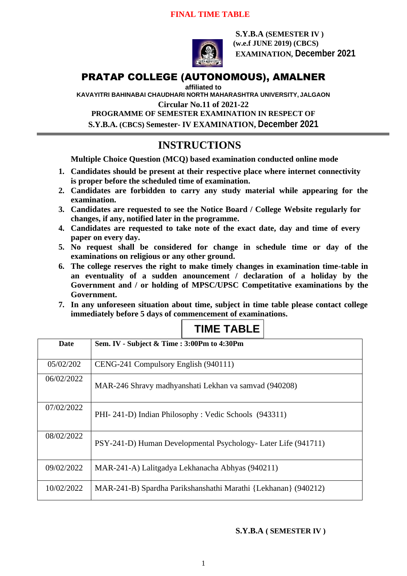### **FINAL TIME TABLE**



**S.Y.B.A (SEMESTER IV ) (w.e.f JUNE 2019) (CBCS) EXAMINATION, December 2021**

# PRATAP COLLEGE (AUTONOMOUS), AMALNER

**affiliated to** 

**KAVAYITRI BAHINABAI CHAUDHARI NORTH MAHARASHTRA UNIVERSITY, JALGAON**

**Circular No.11 of 2021-22**

**PROGRAMME OF SEMESTER EXAMINATION IN RESPECT OF S.Y.B.A. (CBCS) Semester- IV EXAMINATION, December 2021**

# **INSTRUCTIONS**

**Multiple Choice Question (MCQ) based examination conducted online mode**

- **1. Candidates should be present at their respective place where internet connectivity is proper before the scheduled time of examination.**
- **2. Candidates are forbidden to carry any study material while appearing for the examination.**
- **3. Candidates are requested to see the Notice Board / College Website regularly for changes, if any, notified later in the programme.**
- **4. Candidates are requested to take note of the exact date, day and time of every paper on every day.**
- **5. No request shall be considered for change in schedule time or day of the examinations on religious or any other ground.**
- **6. The college reserves the right to make timely changes in examination time-table in an eventuality of a sudden anouncement / declaration of a holiday by the Government and / or holding of MPSC/UPSC Competitative examinations by the Government.**
- **7. In any unforeseen situation about time, subject in time table please contact college immediately before 5 days of commencement of examinations.**

# **TIME TABLE**

| Date       | Sem. IV - Subject & Time: 3:00Pm to 4:30Pm                     |
|------------|----------------------------------------------------------------|
|            |                                                                |
| 05/02/202  | CENG-241 Compulsory English (940111)                           |
| 06/02/2022 | MAR-246 Shravy madhyanshati Lekhan va samvad (940208)          |
| 07/02/2022 | PHI-241-D) Indian Philosophy: Vedic Schools (943311)           |
| 08/02/2022 | PSY-241-D) Human Developmental Psychology- Later Life (941711) |
| 09/02/2022 | MAR-241-A) Lalitgadya Lekhanacha Abhyas (940211)               |
| 10/02/2022 | MAR-241-B) Spardha Parikshanshathi Marathi {Lekhanan} (940212) |

**S.Y.B.A ( SEMESTER IV )**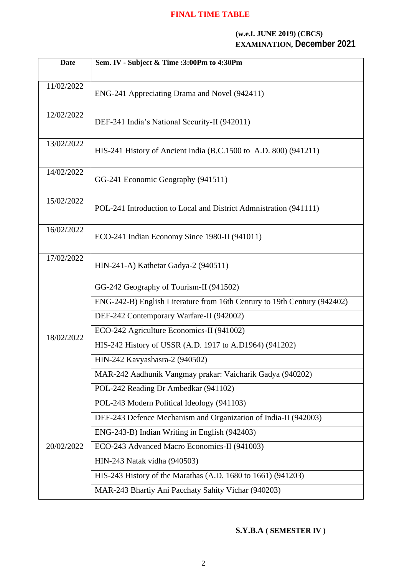## **FINAL TIME TABLE**

#### **(w.e.f. JUNE 2019) (CBCS) EXAMINATION, December 2021**

| <b>Date</b> | Sem. IV - Subject & Time :3:00Pm to 4:30Pm                               |
|-------------|--------------------------------------------------------------------------|
| 11/02/2022  | ENG-241 Appreciating Drama and Novel (942411)                            |
| 12/02/2022  | DEF-241 India's National Security-II (942011)                            |
| 13/02/2022  | HIS-241 History of Ancient India (B.C.1500 to A.D. 800) (941211)         |
| 14/02/2022  | GG-241 Economic Geography (941511)                                       |
| 15/02/2022  | POL-241 Introduction to Local and District Admnistration (941111)        |
| 16/02/2022  | ECO-241 Indian Economy Since 1980-II (941011)                            |
| 17/02/2022  | HIN-241-A) Kathetar Gadya-2 (940511)                                     |
| 18/02/2022  | GG-242 Geography of Tourism-II (941502)                                  |
|             | ENG-242-B) English Literature from 16th Century to 19th Century (942402) |
|             | DEF-242 Contemporary Warfare-II (942002)                                 |
|             | ECO-242 Agriculture Economics-II (941002)                                |
|             | HIS-242 History of USSR (A.D. 1917 to A.D1964) (941202)                  |
|             | HIN-242 Kavyashasra-2 (940502)                                           |
|             | MAR-242 Aadhunik Vangmay prakar: Vaicharik Gadya (940202)                |
|             | POL-242 Reading Dr Ambedkar (941102)                                     |
| 20/02/2022  | POL-243 Modern Political Ideology (941103)                               |
|             | DEF-243 Defence Mechanism and Organization of India-II (942003)          |
|             | ENG-243-B) Indian Writing in English (942403)                            |
|             | ECO-243 Advanced Macro Economics-II (941003)                             |
|             | HIN-243 Natak vidha (940503)                                             |
|             | HIS-243 History of the Marathas (A.D. 1680 to 1661) (941203)             |
|             | MAR-243 Bhartiy Ani Pacchaty Sahity Vichar (940203)                      |

**S.Y.B.A ( SEMESTER IV )**